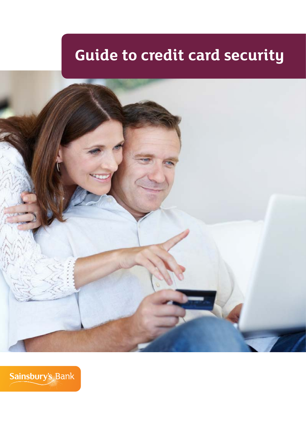# **Guide to credit card security**



Sainsbury's Bank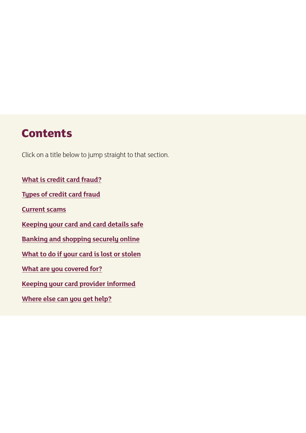# **Contents**

Click on a title below to jump straight to that section.

**[What is credit card fraud?](#page-2-0) [Types of credit card fraud](#page-2-1) [Current scams](#page-3-0) [Keeping your card and card details safe](#page-4-0) [Banking and shopping securely online](#page-7-0) [What to do if your card is lost or stolen](#page-10-0) [What are you covered for?](#page-10-1) [Keeping your card provider informed](#page-11-0) [Where else can you get help?](#page-11-1)**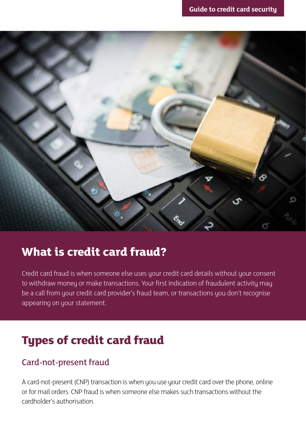

# <span id="page-2-0"></span>**What is credit card fraud?**

Credit card fraud is when someone else uses your credit card details without your consent to withdraw money or make transactions. Your first indication of fraudulent activity may be a call from your credit card provider's fraud team, or transactions you don't recognise appearing on your statement.

# <span id="page-2-1"></span>**Types of credit card fraud**

# Card-not-present fraud

A card-not-present (CNP) transaction is when you use your credit card over the phone, online or for mail orders. CNP fraud is when someone else makes such transactions without the cardholder's authorisation.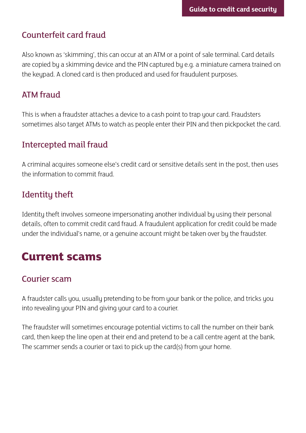# Counterfeit card fraud

Also known as 'skimming', this can occur at an ATM or a point of sale terminal. Card details are copied by a skimming device and the PIN captured by e.g. a miniature camera trained on the keypad. A cloned card is then produced and used for fraudulent purposes.

## ATM fraud

This is when a fraudster attaches a device to a cash point to trap your card. Fraudsters sometimes also target ATMs to watch as people enter their PIN and then pickpocket the card.

# Intercepted mail fraud

A criminal acquires someone else's credit card or sensitive details sent in the post, then uses the information to commit fraud.

# Identity theft

Identity theft involves someone impersonating another individual by using their personal details, often to commit credit card fraud. A fraudulent application for credit could be made under the individual's name, or a genuine account might be taken over by the fraudster.

# <span id="page-3-0"></span>**Current scams**

# Courier scam

A fraudster calls you, usually pretending to be from your bank or the police, and tricks you into revealing your PIN and giving your card to a courier.

The fraudster will sometimes encourage potential victims to call the number on their bank card, then keep the line open at their end and pretend to be a call centre agent at the bank. The scammer sends a courier or taxi to pick up the card(s) from your home.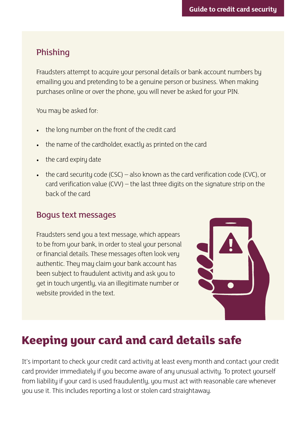### Phishing

Fraudsters attempt to acquire your personal details or bank account numbers by emailing you and pretending to be a genuine person or business. When making purchases online or over the phone, you will never be asked for your PIN.

You may be asked for:

- the long number on the front of the credit card
- the name of the cardholder, exactly as printed on the card
- the card expiry date
- the card security code (CSC) also known as the card verification code (CVC), or card verification value (CVV) – the last three digits on the signature strip on the back of the card

#### Bogus text messages

Fraudsters send you a text message, which appears to be from your bank, in order to steal your personal or financial details. These messages often look very authentic. They may claim your bank account has been subject to fraudulent activity and ask you to get in touch urgently, via an illegitimate number or website provided in the text.



# <span id="page-4-0"></span>**Keeping your card and card details safe**

It's important to check your credit card activity at least every month and contact your credit card provider immediately if you become aware of any unusual activity. To protect yourself from liability if your card is used fraudulently, you must act with reasonable care whenever you use it. This includes reporting a lost or stolen card straightaway.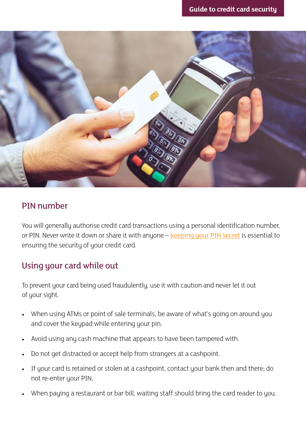

#### PIN number

You will generally authorise credit card transactions using a personal identification number, or PIN. Never write it down or share it with anyone – [keeping your PIN secret](http://www.sainsburysbank.co.uk/credit_cards/pin-numbers.shtml) is essential to ensuring the security of your credit card.

### Using your card while out

To prevent your card being used fraudulently, use it with caution and never let it out of your sight.

- When using ATMs or point of sale terminals, be aware of what's going on around you and cover the keypad while entering your pin.
- Avoid using any cash machine that appears to have been tampered with.
- Do not get distracted or accept help from strangers at a cashpoint.
- If your card is retained or stolen at a cashpoint, contact your bank then and there; do not re-enter your PIN.
- When paying a restaurant or bar bill, waiting staff should bring the card reader to you.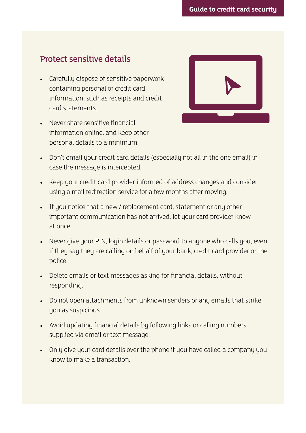#### Protect sensitive details

- Carefully dispose of sensitive paperwork containing personal or credit card information, such as receipts and credit card statements.
- Never share sensitive financial information online, and keep other personal details to a minimum.



- Don't email your credit card details (especially not all in the one email) in case the message is intercepted.
- Keep your credit card provider informed of address changes and consider using a mail redirection service for a few months after moving.
- If you notice that a new / replacement card, statement or any other important communication has not arrived, let your card provider know at once.
- Never give your PIN, login details or password to anyone who calls you, even if they say they are calling on behalf of your bank, credit card provider or the police.
- Delete emails or text messages asking for financial details, without responding.
- Do not open attachments from unknown senders or any emails that strike you as suspicious.
- Avoid updating financial details by following links or calling numbers supplied via email or text message.
- Only give your card details over the phone if you have called a company you know to make a transaction.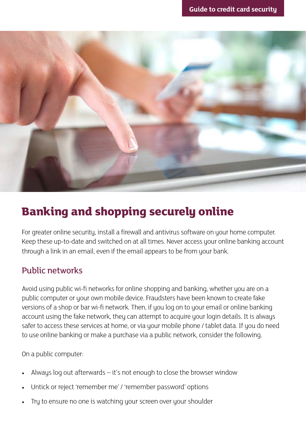

# <span id="page-7-0"></span>**Banking and shopping securely online**

For greater online security, install a firewall and antivirus software on your home computer. Keep these up-to-date and switched on at all times. Never access your online banking account through a link in an email, even if the email appears to be from your bank.

# Public networks

Avoid using public wi-fi networks for online shopping and banking, whether you are on a public computer or your own mobile device. Fraudsters have been known to create fake versions of a shop or bar wi-fi network. Then, if you log on to your email or online banking account using the fake network, they can attempt to acquire your login details. It is always safer to access these services at home, or via your mobile phone / tablet data. If you do need to use online banking or make a purchase via a public network, consider the following.

On a public computer:

- Always log out afterwards  $-$  it's not enough to close the browser window
- Untick or reject 'remember me' / 'remember password' options
- Try to ensure no one is watching your screen over your shoulder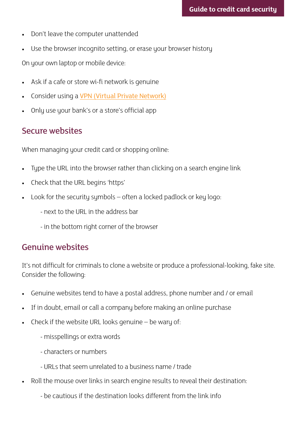- Don't leave the computer unattended
- Use the browser incognito setting, or erase your browser history

On your own laptop or mobile device:

- Ask if a cafe or store wi-fi network is genuine
- Consider using a [VPN \(Virtual Private Network\)](http://www.financialfraudaction.org.uk/consumer-fraud-prevention-advice-remote-banking.asp?pagecontent=5)
- Only use your bank's or a store's official app

#### Secure websites

When managing your credit card or shopping online:

- Type the URL into the browser rather than clicking on a search engine link
- Check that the URL begins 'https'
- Look for the security symbols  $-$  often a locked padlock or key logo:
	- next to the URL in the address bar
	- in the bottom right corner of the browser

#### Genuine websites

It's not difficult for criminals to clone a website or produce a professional-looking, fake site. Consider the following:

- Genuine websites tend to have a postal address, phone number and / or email
- If in doubt, email or call a company before making an online purchase
- Check if the website URL looks genuine  $-$  be wary of:
	- misspellings or extra words
	- characters or numbers
	- URLs that seem unrelated to a business name / trade
- Roll the mouse over links in search engine results to reveal their destination:
	- be cautious if the destination looks different from the link info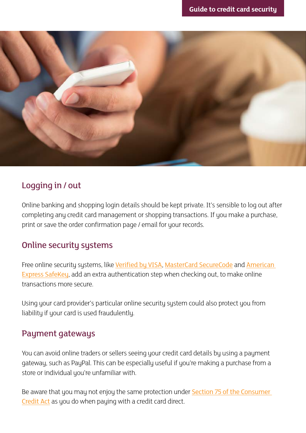

### Logging in / out

Online banking and shopping login details should be kept private. It's sensible to log out after completing any credit card management or shopping transactions. If you make a purchase, print or save the order confirmation page / email for your records.

### Online security systems

Free online security systems, like [Verified by VISA](https://www.visa.co.uk/products/protection-benefits/verified-by-visa/how-to-use-verified-by-visa), [MasterCard SecureCode](http://www.mastercard.co.uk/securecode.html) and [American](https://www.americanexpress.com/uk/content/benefits/safekey.html)  [Express SafeKey](https://www.americanexpress.com/uk/content/benefits/safekey.html), add an extra authentication step when checking out, to make online transactions more secure.

Using your card provider's particular online security system could also protect you from liability if your card is used fraudulently.

#### Payment gateways

You can avoid online traders or sellers seeing your credit card details by using a payment gateway, such as PayPal. This can be especially useful if you're making a purchase from a store or individual you're unfamiliar with.

Be aware that you may not enjoy the same protection under [Section 75 of the Consumer](http://www.legislation.gov.uk/ukpga/1974/39/section/75)  [Credit Act](http://www.legislation.gov.uk/ukpga/1974/39/section/75) as you do when paying with a credit card direct.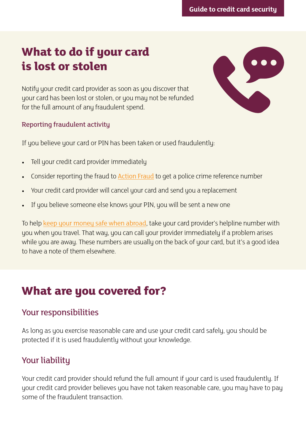# <span id="page-10-0"></span>**What to do if your card is lost or stolen**



Notify your credit card provider as soon as you discover that your card has been lost or stolen, or you may not be refunded for the full amount of any fraudulent spend.

#### Reporting fraudulent activity

If you believe your card or PIN has been taken or used fraudulently:

- Tell your credit card provider immediately
- Consider reporting the fraud to **[Action Fraud](http://www.actionfraud.police.uk/)** to get a police crime reference number
- Your credit card provider will cancel your card and send you a replacement
- If you believe someone else knows your PIN, you will be sent a new one

To help [keep your money safe when abroad](http://www.sainsburysbank.co.uk/library/default/resources/keeping-your-money-safe-abroad.pdf), take your card provider's helpline number with you when you travel. That way, you can call your provider immediately if a problem arises while you are away. These numbers are usually on the back of your card, but it's a good idea to have a note of them elsewhere.

# <span id="page-10-1"></span>**What are you covered for?**

### Your responsibilities

As long as you exercise reasonable care and use your credit card safely, you should be protected if it is used fraudulently without your knowledge.

# Your liability

Your credit card provider should refund the full amount if your card is used fraudulently. If your credit card provider believes you have not taken reasonable care, you may have to pay some of the fraudulent transaction.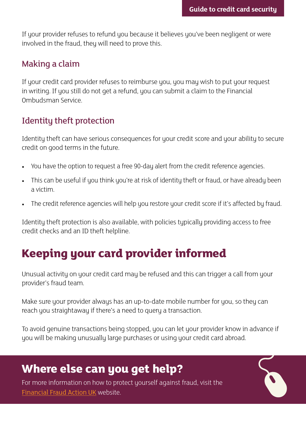If your provider refuses to refund you because it believes you've been negligent or were involved in the fraud, they will need to prove this.

#### Making a claim

If your credit card provider refuses to reimburse you, you may wish to put your request in writing. If you still do not get a refund, you can submit a claim to the Financial Ombudsman Service.

# Identity theft protection

Identity theft can have serious consequences for your credit score and your ability to secure credit on good terms in the future.

- You have the option to request a free 90-day alert from the credit reference agencies.
- This can be useful if you think you're at risk of identity theft or fraud, or have already been a victim.
- The credit reference agencies will help you restore your credit score if it's affected by fraud.

Identity theft protection is also available, with policies typically providing access to free credit checks and an ID theft helpline.

# <span id="page-11-0"></span>**Keeping your card provider informed**

Unusual activity on your credit card may be refused and this can trigger a call from your provider's fraud team.

Make sure your provider always has an up-to-date mobile number for you, so they can reach you straightaway if there's a need to query a transaction.

To avoid genuine transactions being stopped, you can let your provider know in advance if you will be making unusually large purchases or using your credit card abroad.

# <span id="page-11-1"></span>**Where else can you get help?**

For more information on how to protect yourself against fraud, visit the [Financial Fraud Action UK](http://www.financialfraudaction.org.uk/) website.